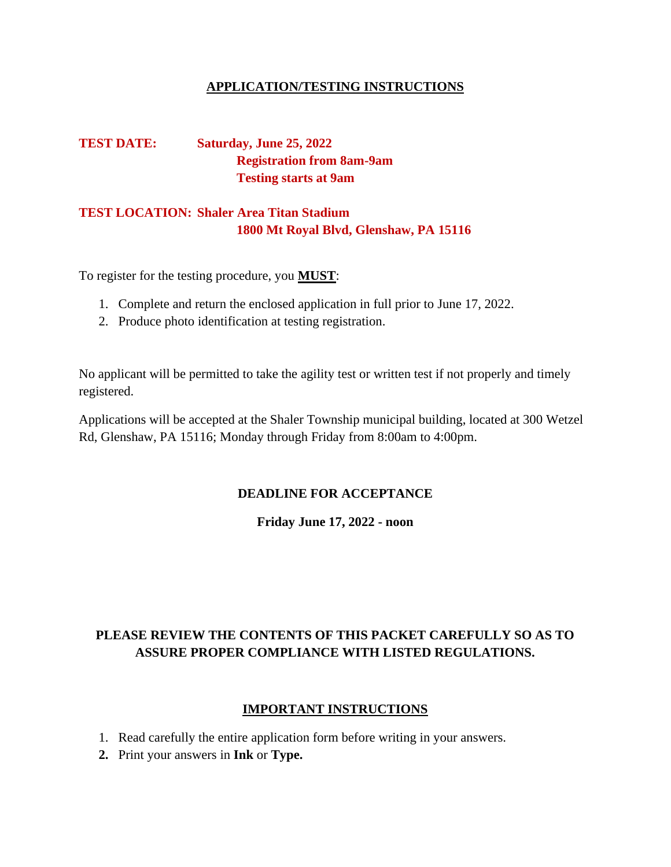## **APPLICATION/TESTING INSTRUCTIONS**

# **TEST DATE: Saturday, June 25, 2022 Registration from 8am-9am Testing starts at 9am**

# **TEST LOCATION: Shaler Area Titan Stadium 1800 Mt Royal Blvd, Glenshaw, PA 15116**

To register for the testing procedure, you **MUST**:

- 1. Complete and return the enclosed application in full prior to June 17, 2022.
- 2. Produce photo identification at testing registration.

No applicant will be permitted to take the agility test or written test if not properly and timely registered.

Applications will be accepted at the Shaler Township municipal building, located at 300 Wetzel Rd, Glenshaw, PA 15116; Monday through Friday from 8:00am to 4:00pm.

# **DEADLINE FOR ACCEPTANCE**

**Friday June 17, 2022 - noon**

# **PLEASE REVIEW THE CONTENTS OF THIS PACKET CAREFULLY SO AS TO ASSURE PROPER COMPLIANCE WITH LISTED REGULATIONS.**

# **IMPORTANT INSTRUCTIONS**

- 1. Read carefully the entire application form before writing in your answers.
- **2.** Print your answers in **Ink** or **Type.**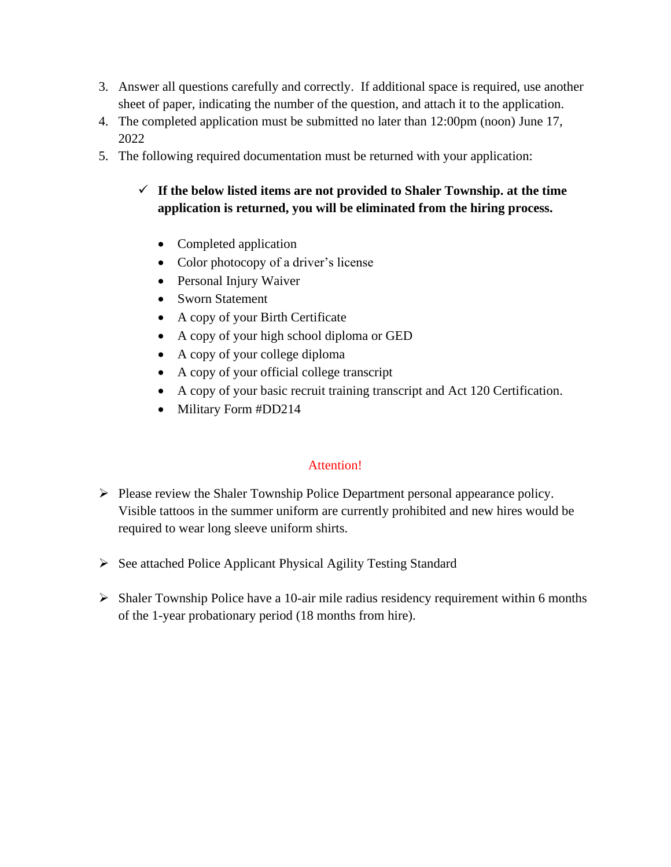- 3. Answer all questions carefully and correctly. If additional space is required, use another sheet of paper, indicating the number of the question, and attach it to the application.
- 4. The completed application must be submitted no later than 12:00pm (noon) June 17, 2022
- 5. The following required documentation must be returned with your application:

# ✓ **If the below listed items are not provided to Shaler Township. at the time application is returned, you will be eliminated from the hiring process.**

- Completed application
- Color photocopy of a driver's license
- Personal Injury Waiver
- Sworn Statement
- A copy of your Birth Certificate
- A copy of your high school diploma or GED
- A copy of your college diploma
- A copy of your official college transcript
- A copy of your basic recruit training transcript and Act 120 Certification.
- Military Form #DD214

# Attention!

- ➢ Please review the Shaler Township Police Department personal appearance policy. Visible tattoos in the summer uniform are currently prohibited and new hires would be required to wear long sleeve uniform shirts.
- ➢ See attached Police Applicant Physical Agility Testing Standard
- ➢ Shaler Township Police have a 10-air mile radius residency requirement within 6 months of the 1-year probationary period (18 months from hire).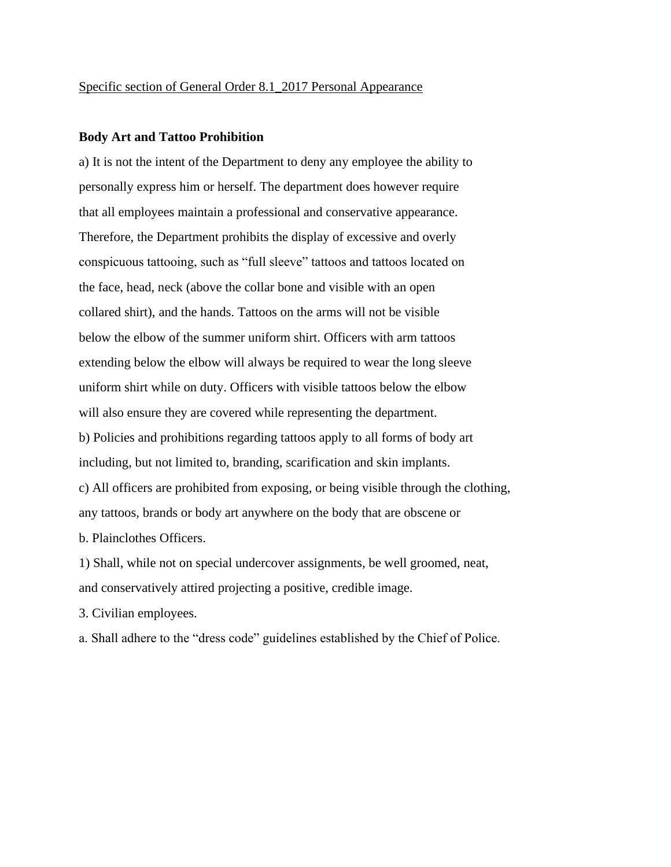#### **Body Art and Tattoo Prohibition**

a) It is not the intent of the Department to deny any employee the ability to personally express him or herself. The department does however require that all employees maintain a professional and conservative appearance. Therefore, the Department prohibits the display of excessive and overly conspicuous tattooing, such as "full sleeve" tattoos and tattoos located on the face, head, neck (above the collar bone and visible with an open collared shirt), and the hands. Tattoos on the arms will not be visible below the elbow of the summer uniform shirt. Officers with arm tattoos extending below the elbow will always be required to wear the long sleeve uniform shirt while on duty. Officers with visible tattoos below the elbow will also ensure they are covered while representing the department. b) Policies and prohibitions regarding tattoos apply to all forms of body art including, but not limited to, branding, scarification and skin implants. c) All officers are prohibited from exposing, or being visible through the clothing, any tattoos, brands or body art anywhere on the body that are obscene or b. Plainclothes Officers.

1) Shall, while not on special undercover assignments, be well groomed, neat, and conservatively attired projecting a positive, credible image.

3. Civilian employees.

a. Shall adhere to the "dress code" guidelines established by the Chief of Police.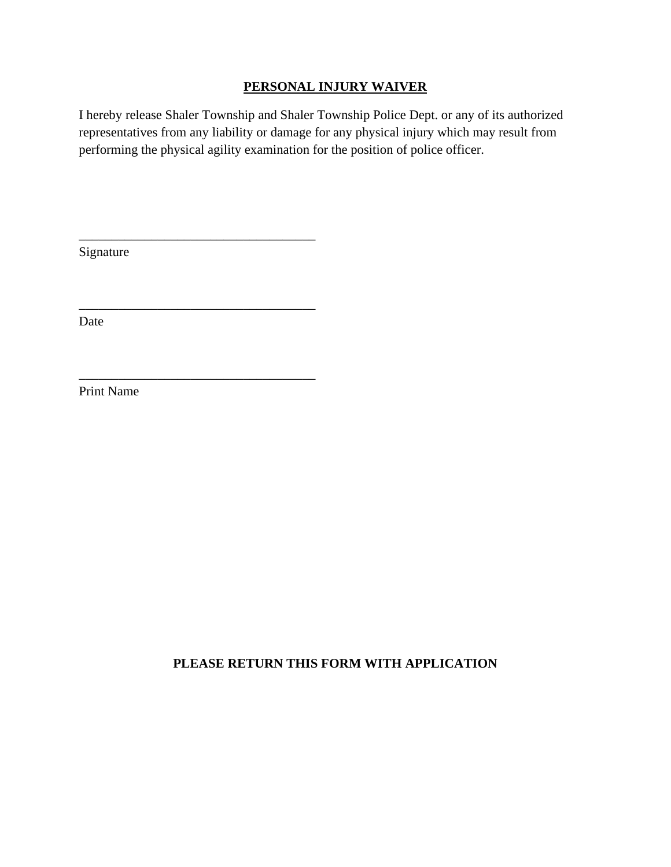## **PERSONAL INJURY WAIVER**

I hereby release Shaler Township and Shaler Township Police Dept. or any of its authorized representatives from any liability or damage for any physical injury which may result from performing the physical agility examination for the position of police officer.

Signature

\_\_\_\_\_\_\_\_\_\_\_\_\_\_\_\_\_\_\_\_\_\_\_\_\_\_\_\_\_\_\_\_\_\_\_\_

\_\_\_\_\_\_\_\_\_\_\_\_\_\_\_\_\_\_\_\_\_\_\_\_\_\_\_\_\_\_\_\_\_\_\_\_

\_\_\_\_\_\_\_\_\_\_\_\_\_\_\_\_\_\_\_\_\_\_\_\_\_\_\_\_\_\_\_\_\_\_\_\_

Date

Print Name

# **PLEASE RETURN THIS FORM WITH APPLICATION**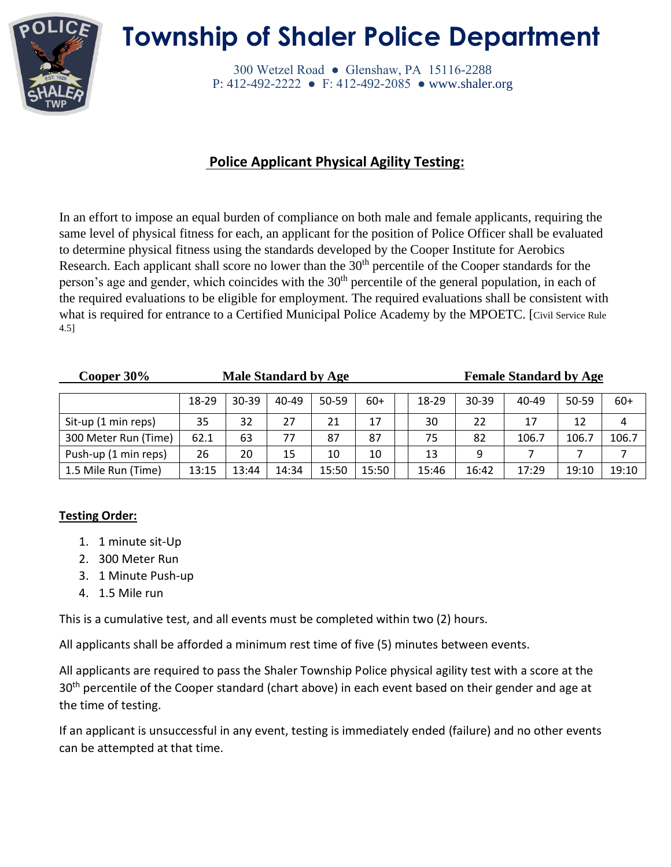

# **Township of Shaler Police Department**

300 Wetzel Road ● Glenshaw, PA 15116-2288 P: 412-492-2222 ● F: 412-492-2085 ● [www.shaler.org](http://www.shaler.org/)

# **Police Applicant Physical Agility Testing:**

In an effort to impose an equal burden of compliance on both male and female applicants, requiring the same level of physical fitness for each, an applicant for the position of Police Officer shall be evaluated to determine physical fitness using the standards developed by the Cooper Institute for Aerobics Research. Each applicant shall score no lower than the  $30<sup>th</sup>$  percentile of the Cooper standards for the person's age and gender, which coincides with the 30<sup>th</sup> percentile of the general population, in each of the required evaluations to be eligible for employment. The required evaluations shall be consistent with what is required for entrance to a Certified Municipal Police Academy by the MPOETC. [Civil Service Rule 4.5]

| Cooper $30\%$        | <b>Male Standard by Age</b> |           |       |       |       |  |       |           | <b>Female Standard by Age</b> |           |       |
|----------------------|-----------------------------|-----------|-------|-------|-------|--|-------|-----------|-------------------------------|-----------|-------|
|                      | 18-29                       | $30 - 39$ | 40-49 | 50-59 | $60+$ |  | 18-29 | $30 - 39$ | 40-49                         | $50 - 59$ | $60+$ |
| Sit-up (1 min reps)  | 35                          | 32        | 27    | 21    | 17    |  | 30    | 22        | 17                            | 12        | 4     |
| 300 Meter Run (Time) | 62.1                        | 63        | 77    | 87    | 87    |  | 75    | 82        | 106.7                         | 106.7     | 106.7 |
| Push-up (1 min reps) | 26                          | 20        | 15    | 10    | 10    |  | 13    | 9         |                               |           |       |
| 1.5 Mile Run (Time)  | 13:15                       | 13:44     | 14:34 | 15:50 | 15:50 |  | 15:46 | 16:42     | 17:29                         | 19:10     | 19:10 |

# **Testing Order:**

- 1. 1 minute sit-Up
- 2. 300 Meter Run
- 3. 1 Minute Push-up
- 4. 1.5 Mile run

This is a cumulative test, and all events must be completed within two (2) hours.

All applicants shall be afforded a minimum rest time of five (5) minutes between events.

All applicants are required to pass the Shaler Township Police physical agility test with a score at the 30<sup>th</sup> percentile of the Cooper standard (chart above) in each event based on their gender and age at the time of testing.

If an applicant is unsuccessful in any event, testing is immediately ended (failure) and no other events can be attempted at that time.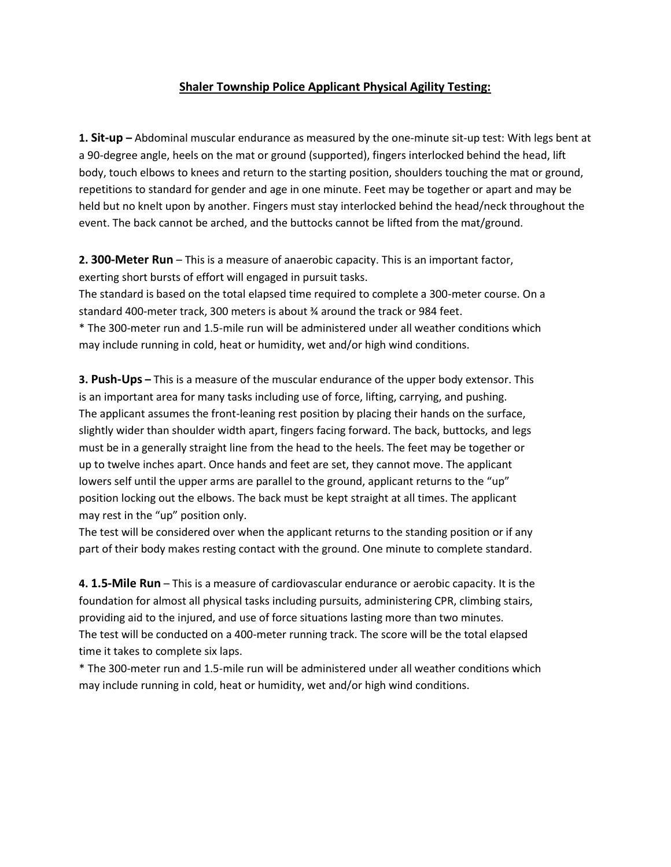#### **Shaler Township Police Applicant Physical Agility Testing:**

**1. Sit-up –** Abdominal muscular endurance as measured by the one-minute sit-up test: With legs bent at a 90-degree angle, heels on the mat or ground (supported), fingers interlocked behind the head, lift body, touch elbows to knees and return to the starting position, shoulders touching the mat or ground, repetitions to standard for gender and age in one minute. Feet may be together or apart and may be held but no knelt upon by another. Fingers must stay interlocked behind the head/neck throughout the event. The back cannot be arched, and the buttocks cannot be lifted from the mat/ground.

**2. 300-Meter Run** – This is a measure of anaerobic capacity. This is an important factor, exerting short bursts of effort will engaged in pursuit tasks.

The standard is based on the total elapsed time required to complete a 300-meter course. On a standard 400-meter track, 300 meters is about ¾ around the track or 984 feet.

\* The 300-meter run and 1.5-mile run will be administered under all weather conditions which may include running in cold, heat or humidity, wet and/or high wind conditions.

**3. Push-Ups –** This is a measure of the muscular endurance of the upper body extensor. This is an important area for many tasks including use of force, lifting, carrying, and pushing. The applicant assumes the front-leaning rest position by placing their hands on the surface, slightly wider than shoulder width apart, fingers facing forward. The back, buttocks, and legs must be in a generally straight line from the head to the heels. The feet may be together or up to twelve inches apart. Once hands and feet are set, they cannot move. The applicant lowers self until the upper arms are parallel to the ground, applicant returns to the "up" position locking out the elbows. The back must be kept straight at all times. The applicant may rest in the "up" position only.

The test will be considered over when the applicant returns to the standing position or if any part of their body makes resting contact with the ground. One minute to complete standard.

**4. 1.5-Mile Run** – This is a measure of cardiovascular endurance or aerobic capacity. It is the foundation for almost all physical tasks including pursuits, administering CPR, climbing stairs, providing aid to the injured, and use of force situations lasting more than two minutes. The test will be conducted on a 400-meter running track. The score will be the total elapsed time it takes to complete six laps.

\* The 300-meter run and 1.5-mile run will be administered under all weather conditions which may include running in cold, heat or humidity, wet and/or high wind conditions.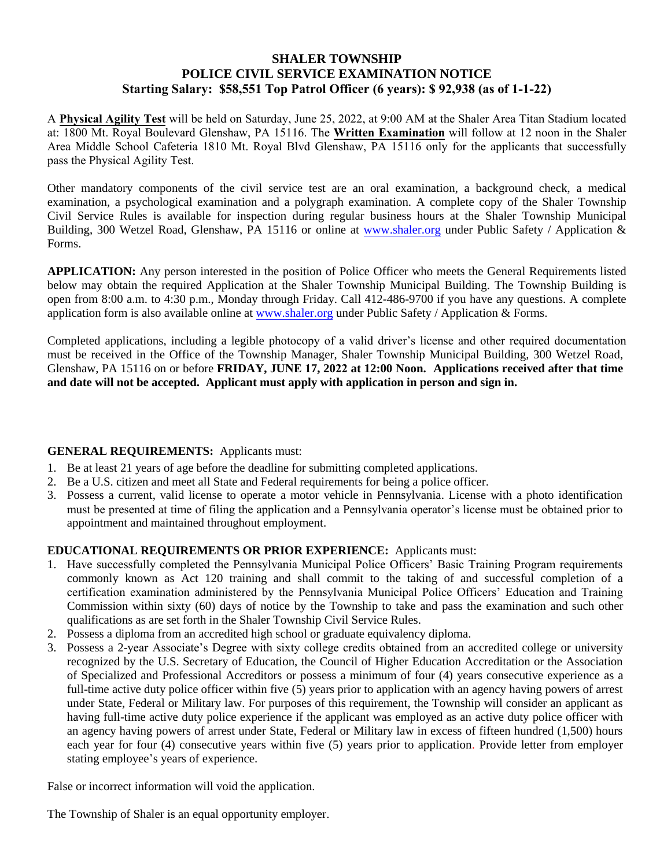## **SHALER TOWNSHIP POLICE CIVIL SERVICE EXAMINATION NOTICE Starting Salary: \$58,551 Top Patrol Officer (6 years): \$ 92,938 (as of 1-1-22)**

A **Physical Agility Test** will be held on Saturday, June 25, 2022, at 9:00 AM at the Shaler Area Titan Stadium located at: 1800 Mt. Royal Boulevard Glenshaw, PA 15116. The **Written Examination** will follow at 12 noon in the Shaler Area Middle School Cafeteria 1810 Mt. Royal Blvd Glenshaw, PA 15116 only for the applicants that successfully pass the Physical Agility Test.

Other mandatory components of the civil service test are an oral examination, a background check, a medical examination, a psychological examination and a polygraph examination. A complete copy of the Shaler Township Civil Service Rules is available for inspection during regular business hours at the Shaler Township Municipal Building, 300 Wetzel Road, Glenshaw, PA 15116 or online at www.shaler.org [under Public Sa](http://www.shaler.org/)fety / Application & Forms.

**APPLICATION:** Any person interested in the position of Police Officer who meets the General Requirements listed below may obtain the required Application at the Shaler Township Municipal Building. The Township Building is open from 8:00 a.m. to 4:30 p.m., Monday through Friday. Call 412-486-9700 if you have any questions. A complete application form is also available online at www.shaler.org under Public Safety / Application & Forms.

Completed applications, including a legible photocopy of a valid driver's license and other required documentation must be received in the Office of the Township Manager, Shaler Township Municipal Building, 300 Wetzel Road, Glenshaw, PA 15116 on or before **FRIDAY, JUNE 17, 2022 at 12:00 Noon. Applications received after that time and date will not be accepted. Applicant must apply with application in person and sign in.**

### **GENERAL REQUIREMENTS:** Applicants must:

- 1. Be at least 21 years of age before the deadline for submitting completed applications.
- 2. Be a U.S. citizen and meet all State and Federal requirements for being a police officer.
- 3. Possess a current, valid license to operate a motor vehicle in Pennsylvania. License with a photo identification must be presented at time of filing the application and a Pennsylvania operator's license must be obtained prior to appointment and maintained throughout employment.

### **EDUCATIONAL REQUIREMENTS OR PRIOR EXPERIENCE:** Applicants must:

- 1. Have successfully completed the Pennsylvania Municipal Police Officers' Basic Training Program requirements commonly known as Act 120 training and shall commit to the taking of and successful completion of a certification examination administered by the Pennsylvania Municipal Police Officers' Education and Training Commission within sixty (60) days of notice by the Township to take and pass the examination and such other qualifications as are set forth in the Shaler Township Civil Service Rules.
- 2. Possess a diploma from an accredited high school or graduate equivalency diploma.
- 3. Possess a 2-year Associate's Degree with sixty college credits obtained from an accredited college or university recognized by the U.S. Secretary of Education, the Council of Higher Education Accreditation or the Association of Specialized and Professional Accreditors or possess a minimum of four (4) years consecutive experience as a full-time active duty police officer within five  $(5)$  years prior to application with an agency having powers of arrest under State, Federal or Military law. For purposes of this requirement, the Township will consider an applicant as having full-time active duty police experience if the applicant was employed as an active duty police officer with an agency having powers of arrest under State, Federal or Military law in excess of fifteen hundred (1,500) hours each year for four (4) consecutive years within five (5) years prior to application. Provide letter from employer stating employee's years of experience.

False or incorrect information will void the application.

The Township of Shaler is an equal opportunity employer.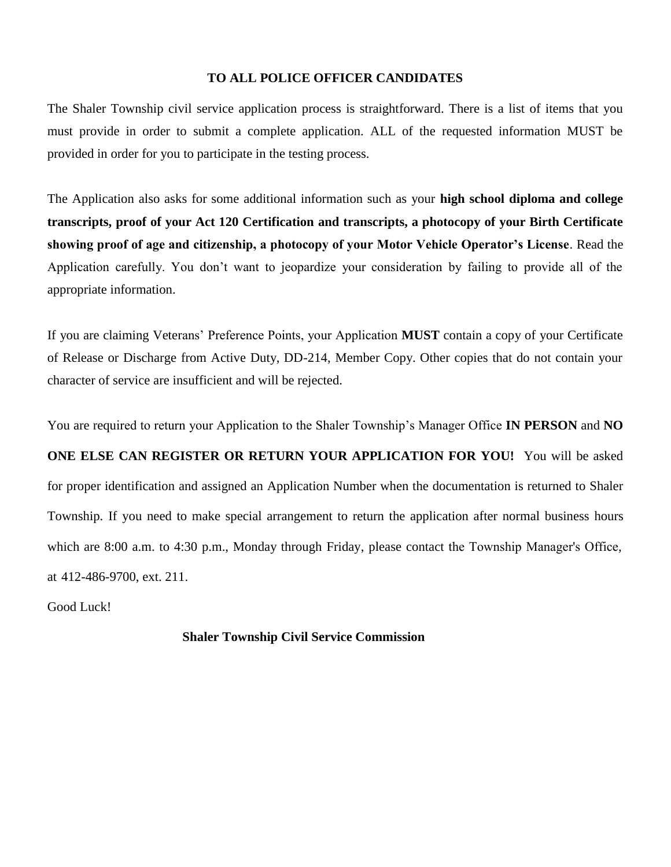#### **TO ALL POLICE OFFICER CANDIDATES**

The Shaler Township civil service application process is straightforward. There is a list of items that you must provide in order to submit a complete application. ALL of the requested information MUST be provided in order for you to participate in the testing process.

The Application also asks for some additional information such as your **high school diploma and college transcripts, proof of your Act 120 Certification and transcripts, a photocopy of your Birth Certificate showing proof of age and citizenship, a photocopy of your Motor Vehicle Operator's License**. Read the Application carefully. You don't want to jeopardize your consideration by failing to provide all of the appropriate information.

If you are claiming Veterans' Preference Points, your Application **MUST** contain a copy of your Certificate of Release or Discharge from Active Duty, DD-214, Member Copy. Other copies that do not contain your character of service are insufficient and will be rejected.

You are required to return your Application to the Shaler Township's Manager Office **IN PERSON** and **NO ONE ELSE CAN REGISTER OR RETURN YOUR APPLICATION FOR YOU!** You will be asked for proper identification and assigned an Application Number when the documentation is returned to Shaler Township. If you need to make special arrangement to return the application after normal business hours which are 8:00 a.m. to 4:30 p.m., Monday through Friday, please contact the Township Manager's Office, at 412-486-9700, ext. 211.

Good Luck!

**Shaler Township Civil Service Commission**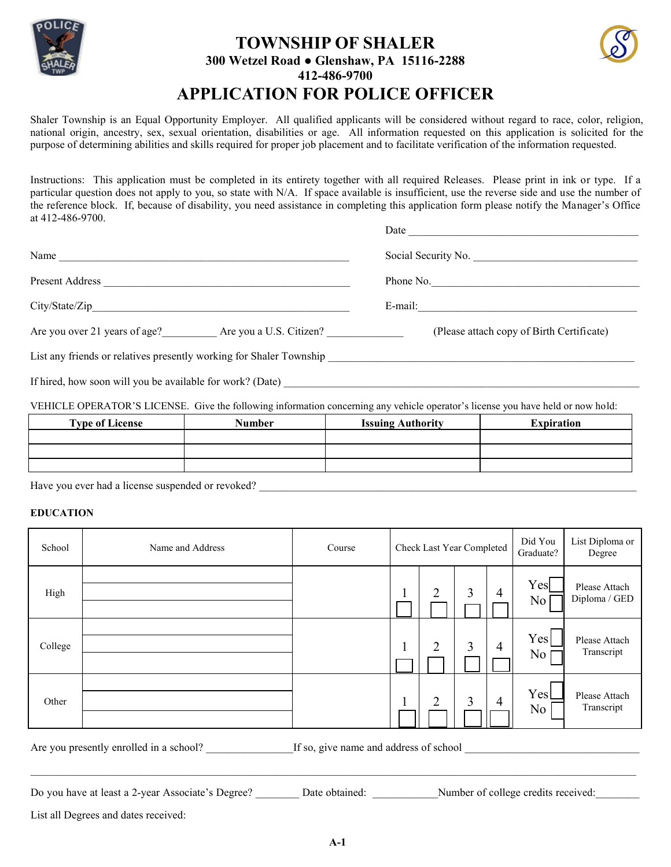

# **TOWNSHIP OF SHALER 300 Wetzel Road ● Glenshaw, PA 15116-2288 412-486-9700 APPLICATION FOR POLICE OFFICER**



Shaler Township is an Equal Opportunity Employer. All qualified applicants will be considered without regard to race, color, religion, national origin, ancestry, sex, sexual orientation, disabilities or age. All information requested on this application is solicited for the purpose of determining abilities and skills required for proper job placement and to facilitate verification of the information requested.

Instructions: This application must be completed in its entirety together with all required Releases. Please print in ink or type. If a particular question does not apply to you, so state with N/A. If space available is insufficient, use the reverse side and use the number of the reference block. If, because of disability, you need assistance in completing this application form please notify the Manager's Office at 412-486-9700.

|                                                                     | Date                                      |
|---------------------------------------------------------------------|-------------------------------------------|
| Name                                                                | Social Security No.                       |
| Present Address                                                     | Phone No.                                 |
|                                                                     | E-mail:                                   |
| Are you over 21 years of age? Are you a U.S. Citizen?               | (Please attach copy of Birth Certificate) |
| List any friends or relatives presently working for Shaler Township |                                           |

If hired, how soon will you be available for work? (Date)

VEHICLE OPERATOR'S LICENSE. Give the following information concerning any vehicle operator's license you have held or now hold:

| <b>Type of License</b> | Number | <b>Issuing Authority</b> | <b>Expiration</b> |
|------------------------|--------|--------------------------|-------------------|
|                        |        |                          |                   |
|                        |        |                          |                   |
|                        |        |                          |                   |

Have you ever had a license suspended or revoked? \_\_\_\_\_\_\_\_\_\_\_\_\_\_\_\_\_\_\_\_\_\_\_\_\_\_\_\_\_\_\_\_\_\_\_\_\_\_\_\_\_\_\_\_\_\_\_\_\_\_\_\_\_\_\_\_\_\_\_\_\_\_\_\_\_\_\_\_\_

#### **EDUCATION**

| School  | Name and Address                        | Course                                 | Check Last Year Completed |                |   | Did You<br>Graduate? | List Diploma or<br>Degree |                                |
|---------|-----------------------------------------|----------------------------------------|---------------------------|----------------|---|----------------------|---------------------------|--------------------------------|
| High    |                                         |                                        |                           | $\overline{2}$ | 3 | 4                    | Yes<br>N <sub>o</sub>     | Please Attach<br>Diploma / GED |
| College |                                         |                                        |                           | 2              | 3 | 4                    | Yes<br>N <sub>0</sub>     | Please Attach<br>Transcript    |
| Other   |                                         |                                        |                           | 2              | 3 | 4                    | Yesl<br>N <sub>0</sub>    | Please Attach<br>Transcript    |
|         | Are you presently enrolled in a school? | If so, give name and address of school |                           |                |   |                      |                           |                                |

Do you have at least a 2-year Associate's Degree? \_\_\_\_\_\_\_ Date obtained: \_\_\_\_\_\_\_\_\_\_\_\_\_Number of college credits received:

List all Degrees and dates received: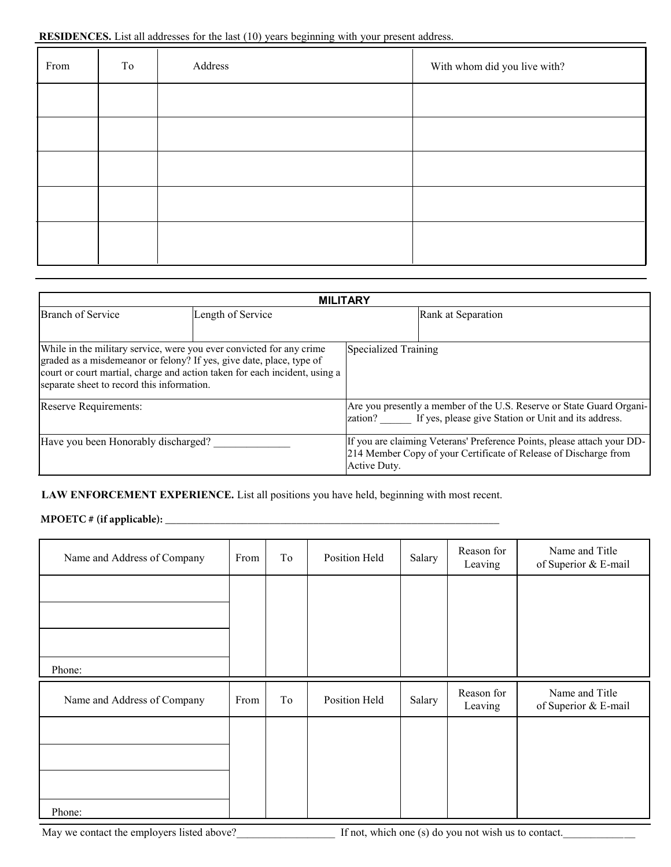#### **RESIDENCES.** List all addresses for the last (10) years beginning with your present address.

| From | To | Address | With whom did you live with? |
|------|----|---------|------------------------------|
|      |    |         |                              |
|      |    |         |                              |
|      |    |         |                              |
|      |    |         |                              |
|      |    |         |                              |

|                                                                                                                                                                                                                                                                          | <b>MILITARY</b>   |                      |                                                                                                                                             |  |  |  |  |  |  |
|--------------------------------------------------------------------------------------------------------------------------------------------------------------------------------------------------------------------------------------------------------------------------|-------------------|----------------------|---------------------------------------------------------------------------------------------------------------------------------------------|--|--|--|--|--|--|
| <b>Branch of Service</b>                                                                                                                                                                                                                                                 | Length of Service |                      | Rank at Separation                                                                                                                          |  |  |  |  |  |  |
| While in the military service, were you ever convicted for any crime<br>graded as a misdemeanor or felony? If yes, give date, place, type of<br>court or court martial, charge and action taken for each incident, using a<br>separate sheet to record this information. |                   | Specialized Training |                                                                                                                                             |  |  |  |  |  |  |
| Reserve Requirements:                                                                                                                                                                                                                                                    |                   |                      | Are you presently a member of the U.S. Reserve or State Guard Organi-<br>zation? If yes, please give Station or Unit and its address.       |  |  |  |  |  |  |
| Have you been Honorably discharged?                                                                                                                                                                                                                                      |                   | Active Duty.         | If you are claiming Veterans' Preference Points, please attach your DD-<br>214 Member Copy of your Certificate of Release of Discharge from |  |  |  |  |  |  |

#### **LAW ENFORCEMENT EXPERIENCE.** List all positions you have held, beginning with most recent.

## **MPOETC # (if applicable): \_\_\_\_\_\_\_\_\_\_\_\_\_\_\_\_\_\_\_\_\_\_\_\_\_\_\_\_\_\_\_\_\_\_\_\_\_\_\_\_\_\_\_\_\_\_\_\_\_\_\_\_\_\_\_\_\_\_\_\_\_**

| Name and Address of Company | From | To | Position Held | Salary | Reason for<br>Leaving | Name and Title<br>of Superior & E-mail |
|-----------------------------|------|----|---------------|--------|-----------------------|----------------------------------------|
|                             |      |    |               |        |                       |                                        |
|                             |      |    |               |        |                       |                                        |
| Phone:                      |      |    |               |        |                       |                                        |
| Name and Address of Company | From | To | Position Held | Salary | Reason for<br>Leaving | Name and Title<br>of Superior & E-mail |
|                             |      |    |               |        |                       |                                        |
|                             |      |    |               |        |                       |                                        |
| Phone:                      |      |    |               |        |                       |                                        |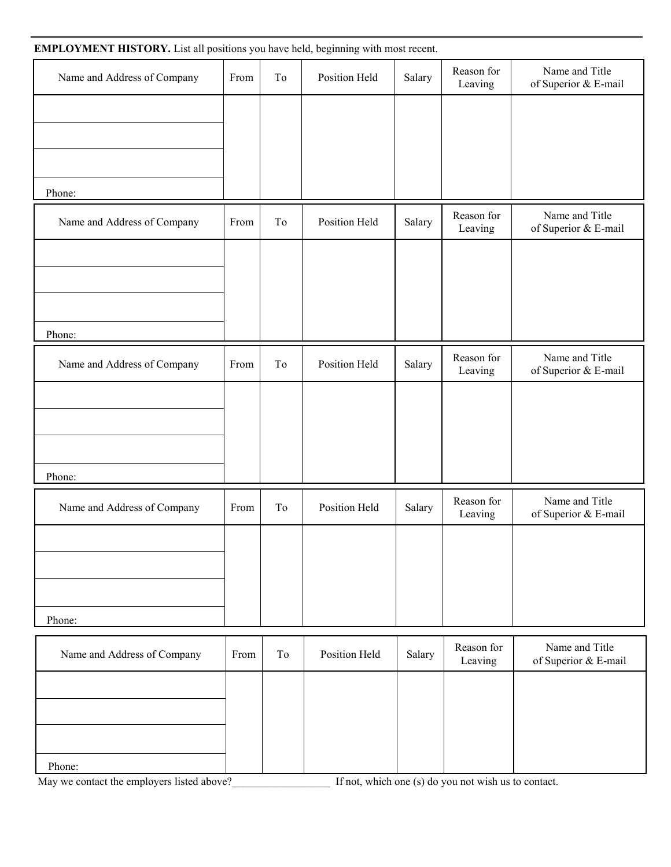| EMPLOYMENT HISTORY. List all positions you have held, beginning with most recent. |      |    |               |        |                       |                                        |
|-----------------------------------------------------------------------------------|------|----|---------------|--------|-----------------------|----------------------------------------|
| Name and Address of Company                                                       | From | To | Position Held | Salary | Reason for<br>Leaving | Name and Title<br>of Superior & E-mail |
|                                                                                   |      |    |               |        |                       |                                        |
|                                                                                   |      |    |               |        |                       |                                        |
|                                                                                   |      |    |               |        |                       |                                        |
| Phone:                                                                            |      |    |               |        |                       |                                        |
| Name and Address of Company                                                       | From | To | Position Held | Salary | Reason for<br>Leaving | Name and Title<br>of Superior & E-mail |
|                                                                                   |      |    |               |        |                       |                                        |
|                                                                                   |      |    |               |        |                       |                                        |
|                                                                                   |      |    |               |        |                       |                                        |
| Phone:                                                                            |      |    |               |        |                       |                                        |
| Name and Address of Company                                                       | From | To | Position Held | Salary | Reason for<br>Leaving | Name and Title<br>of Superior & E-mail |
|                                                                                   |      |    |               |        |                       |                                        |
|                                                                                   |      |    |               |        |                       |                                        |
|                                                                                   |      |    |               |        |                       |                                        |
| Phone:                                                                            |      |    |               |        |                       |                                        |
| Name and Address of Company                                                       | From | To | Position Held | Salary | Reason for<br>Leaving | Name and Title<br>of Superior & E-mail |
|                                                                                   |      |    |               |        |                       |                                        |
|                                                                                   |      |    |               |        |                       |                                        |
|                                                                                   |      |    |               |        |                       |                                        |
| Phone:                                                                            |      |    |               |        |                       |                                        |
| Name and Address of Company                                                       | From | To | Position Held | Salary | Reason for<br>Leaving | Name and Title<br>of Superior & E-mail |
|                                                                                   |      |    |               |        |                       |                                        |
|                                                                                   |      |    |               |        |                       |                                        |
|                                                                                   |      |    |               |        |                       |                                        |
| Phone:                                                                            |      |    |               |        |                       |                                        |

May we contact the employers listed above?<br>Let not, which one (s) do you not wish us to contact.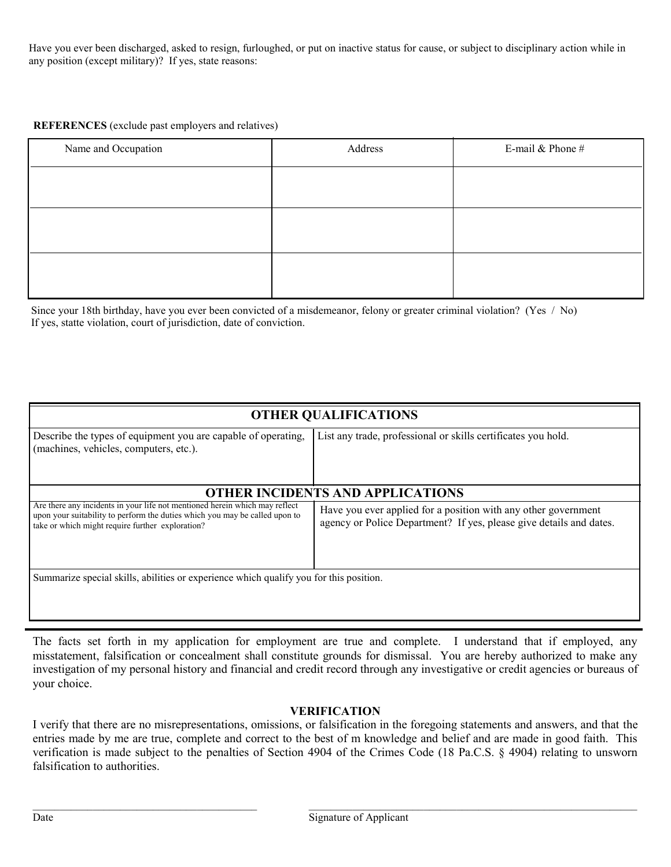Have you ever been discharged, asked to resign, furloughed, or put on inactive status for cause, or subject to disciplinary action while in any position (except military)? If yes, state reasons:

#### **REFERENCES** (exclude past employers and relatives)

| Name and Occupation | Address | E-mail $&$ Phone $#$ |
|---------------------|---------|----------------------|
|                     |         |                      |
|                     |         |                      |
|                     |         |                      |
|                     |         |                      |
|                     |         |                      |

Since your 18th birthday, have you ever been convicted of a misdemeanor, felony or greater criminal violation? (Yes / No) If yes, statte violation, court of jurisdiction, date of conviction.

| <b>OTHER QUALIFICATIONS</b>                                                                                                                                                                                    |                                                                                                                                       |  |  |  |  |  |
|----------------------------------------------------------------------------------------------------------------------------------------------------------------------------------------------------------------|---------------------------------------------------------------------------------------------------------------------------------------|--|--|--|--|--|
| Describe the types of equipment you are capable of operating,<br>(machines, vehicles, computers, etc.).                                                                                                        | List any trade, professional or skills certificates you hold.                                                                         |  |  |  |  |  |
| <b>OTHER INCIDENTS AND APPLICATIONS</b>                                                                                                                                                                        |                                                                                                                                       |  |  |  |  |  |
| Are there any incidents in your life not mentioned herein which may reflect<br>upon your suitability to perform the duties which you may be called upon to<br>take or which might require further exploration? | Have you ever applied for a position with any other government<br>agency or Police Department? If yes, please give details and dates. |  |  |  |  |  |
| Summarize special skills, abilities or experience which qualify you for this position.                                                                                                                         |                                                                                                                                       |  |  |  |  |  |

The facts set forth in my application for employment are true and complete. I understand that if employed, any misstatement, falsification or concealment shall constitute grounds for dismissal. You are hereby authorized to make any investigation of my personal history and financial and credit record through any investigative or credit agencies or bureaus of your choice.

#### **VERIFICATION**

I verify that there are no misrepresentations, omissions, or falsification in the foregoing statements and answers, and that the entries made by me are true, complete and correct to the best of m knowledge and belief and are made in good faith. This verification is made subject to the penalties of Section 4904 of the Crimes Code (18 Pa.C.S. § 4904) relating to unsworn falsification to authorities.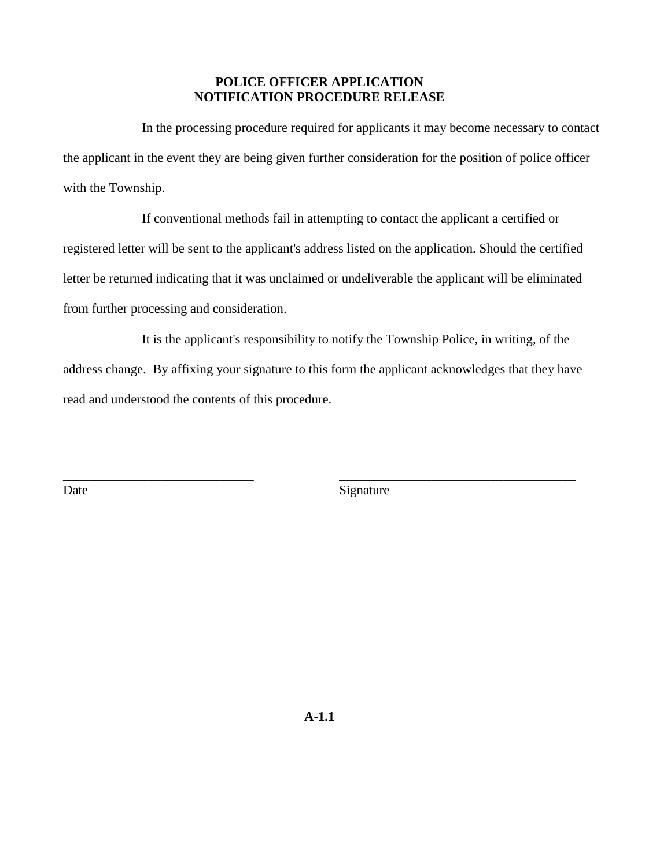## **POLICE OFFICER APPLICATION NOTIFICATION PROCEDURE RELEASE**

In the processing procedure required for applicants it may become necessary to contact the applicant in the event they are being given further consideration for the position of police officer with the Township.

If conventional methods fail in attempting to contact the applicant a certified or registered letter will be sent to the applicant's address listed on the application. Should the certified letter be returned indicating that it was unclaimed or undeliverable the applicant will be eliminated from further processing and consideration.

It is the applicant's responsibility to notify the Township Police, in writing, of the address change. By affixing your signature to this form the applicant acknowledges that they have read and understood the contents of this procedure.

\_\_\_\_\_\_\_\_\_\_\_\_\_\_\_\_\_\_\_\_\_\_\_\_\_\_\_\_\_ \_\_\_\_\_\_\_\_\_\_\_\_\_\_\_\_\_\_\_\_\_\_\_\_\_\_\_\_\_\_\_\_\_\_\_\_ Date Signature

**A-1.1**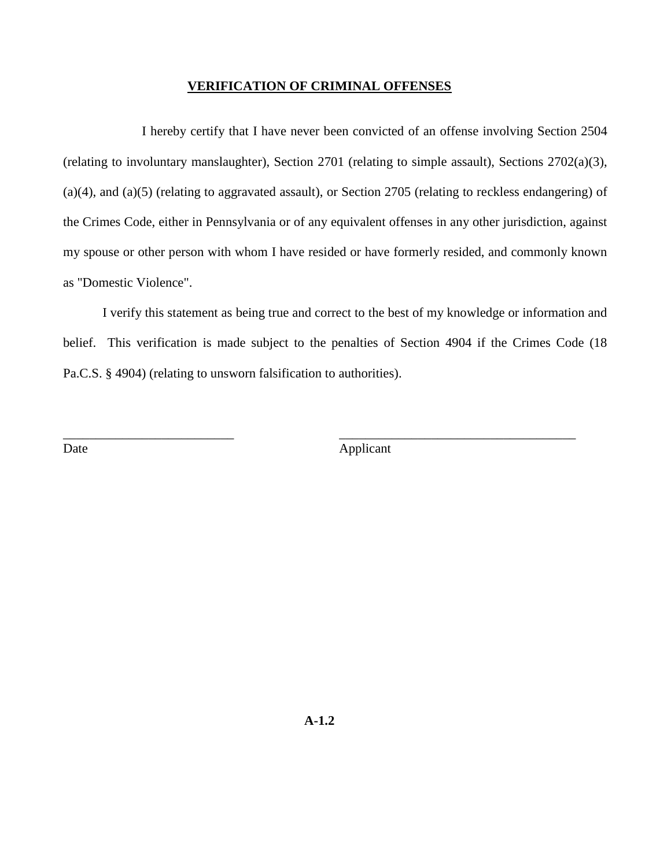#### **VERIFICATION OF CRIMINAL OFFENSES**

I hereby certify that I have never been convicted of an offense involving Section 2504 (relating to involuntary manslaughter), Section 2701 (relating to simple assault), Sections 2702(a)(3), (a)(4), and (a)(5) (relating to aggravated assault), or Section 2705 (relating to reckless endangering) of the Crimes Code, either in Pennsylvania or of any equivalent offenses in any other jurisdiction, against my spouse or other person with whom I have resided or have formerly resided, and commonly known as "Domestic Violence".

I verify this statement as being true and correct to the best of my knowledge or information and belief. This verification is made subject to the penalties of Section 4904 if the Crimes Code (18 Pa.C.S. § 4904) (relating to unsworn falsification to authorities).

\_\_\_\_\_\_\_\_\_\_\_\_\_\_\_\_\_\_\_\_\_\_\_\_\_\_ \_\_\_\_\_\_\_\_\_\_\_\_\_\_\_\_\_\_\_\_\_\_\_\_\_\_\_\_\_\_\_\_\_\_\_\_

Date Applicant

**A-1.2**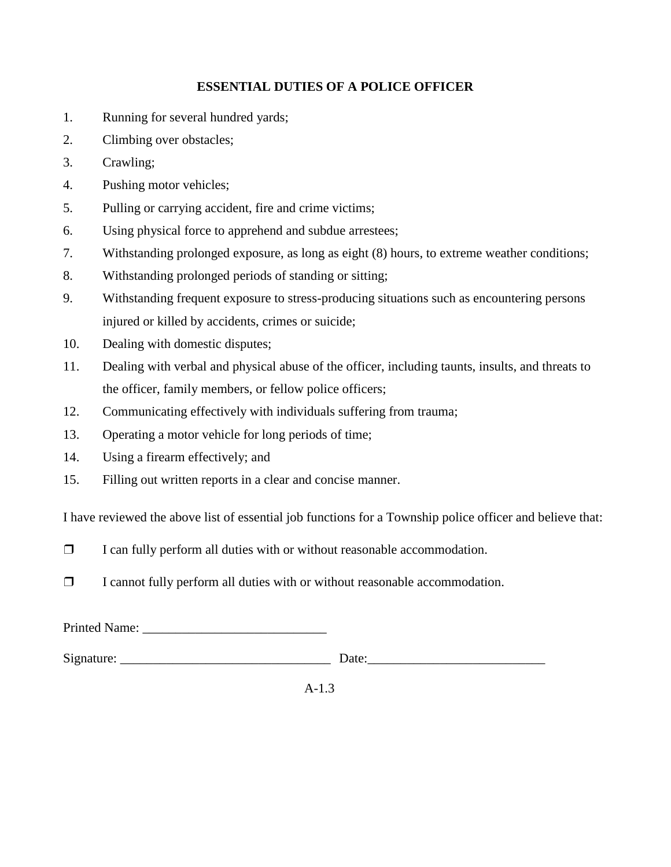# **ESSENTIAL DUTIES OF A POLICE OFFICER**

- 1. Running for several hundred yards;
- 2. Climbing over obstacles;
- 3. Crawling;
- 4. Pushing motor vehicles;
- 5. Pulling or carrying accident, fire and crime victims;
- 6. Using physical force to apprehend and subdue arrestees;
- 7. Withstanding prolonged exposure, as long as eight (8) hours, to extreme weather conditions;
- 8. Withstanding prolonged periods of standing or sitting;
- 9. Withstanding frequent exposure to stress-producing situations such as encountering persons injured or killed by accidents, crimes or suicide;
- 10. Dealing with domestic disputes;
- 11. Dealing with verbal and physical abuse of the officer, including taunts, insults, and threats to the officer, family members, or fellow police officers;
- 12. Communicating effectively with individuals suffering from trauma;
- 13. Operating a motor vehicle for long periods of time;
- 14. Using a firearm effectively; and
- 15. Filling out written reports in a clear and concise manner.

I have reviewed the above list of essential job functions for a Township police officer and believe that:

- ❒ I can fully perform all duties with or without reasonable accommodation.
- ❒ I cannot fully perform all duties with or without reasonable accommodation.

Printed Name:

Signature:  $\Box$ 

A-1.3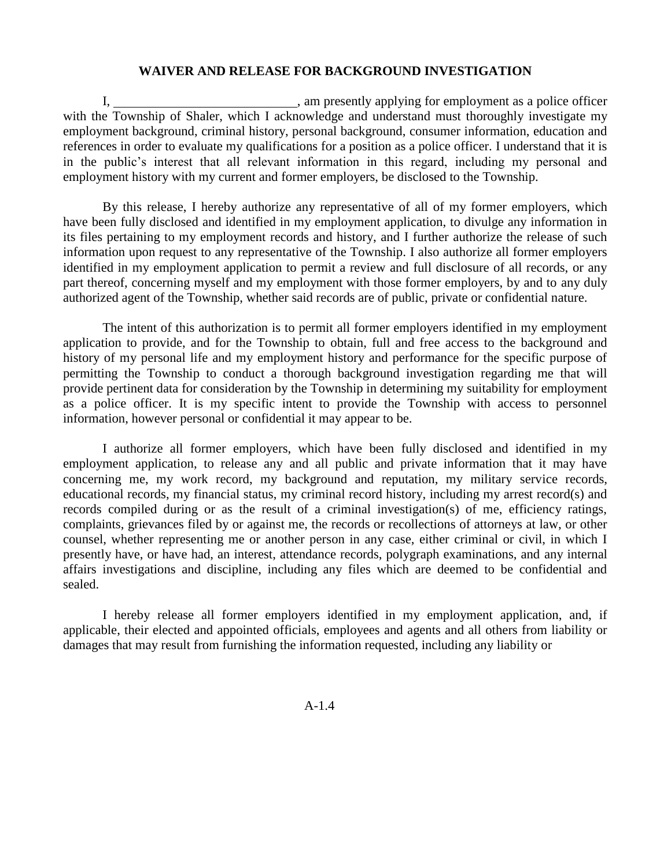#### **WAIVER AND RELEASE FOR BACKGROUND INVESTIGATION**

I, am presently applying for employment as a police officer with the Township of Shaler, which I acknowledge and understand must thoroughly investigate my employment background, criminal history, personal background, consumer information, education and references in order to evaluate my qualifications for a position as a police officer. I understand that it is in the public's interest that all relevant information in this regard, including my personal and employment history with my current and former employers, be disclosed to the Township.

By this release, I hereby authorize any representative of all of my former employers, which have been fully disclosed and identified in my employment application, to divulge any information in its files pertaining to my employment records and history, and I further authorize the release of such information upon request to any representative of the Township. I also authorize all former employers identified in my employment application to permit a review and full disclosure of all records, or any part thereof, concerning myself and my employment with those former employers, by and to any duly authorized agent of the Township, whether said records are of public, private or confidential nature.

The intent of this authorization is to permit all former employers identified in my employment application to provide, and for the Township to obtain, full and free access to the background and history of my personal life and my employment history and performance for the specific purpose of permitting the Township to conduct a thorough background investigation regarding me that will provide pertinent data for consideration by the Township in determining my suitability for employment as a police officer. It is my specific intent to provide the Township with access to personnel information, however personal or confidential it may appear to be.

I authorize all former employers, which have been fully disclosed and identified in my employment application, to release any and all public and private information that it may have concerning me, my work record, my background and reputation, my military service records, educational records, my financial status, my criminal record history, including my arrest record(s) and records compiled during or as the result of a criminal investigation(s) of me, efficiency ratings, complaints, grievances filed by or against me, the records or recollections of attorneys at law, or other counsel, whether representing me or another person in any case, either criminal or civil, in which I presently have, or have had, an interest, attendance records, polygraph examinations, and any internal affairs investigations and discipline, including any files which are deemed to be confidential and sealed.

I hereby release all former employers identified in my employment application, and, if applicable, their elected and appointed officials, employees and agents and all others from liability or damages that may result from furnishing the information requested, including any liability or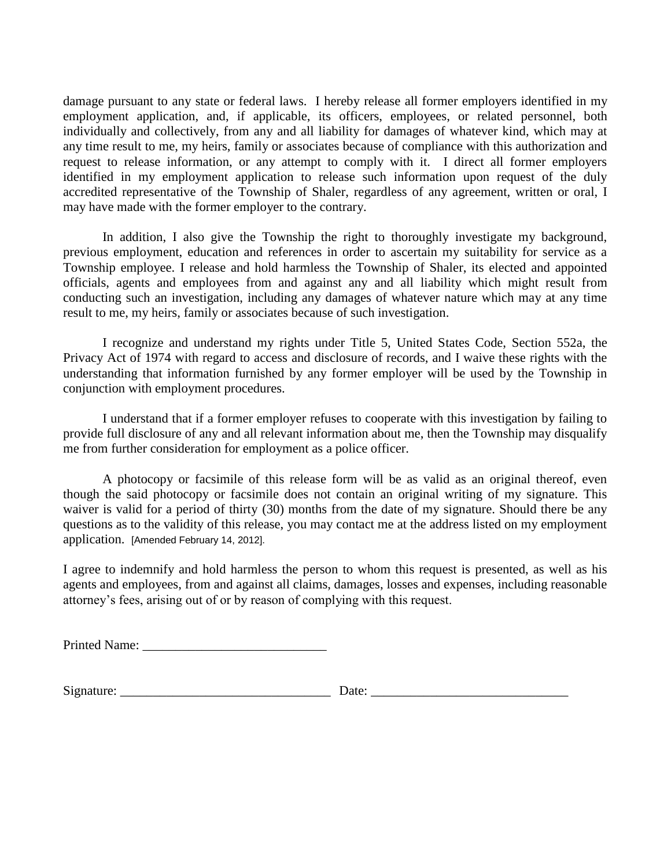damage pursuant to any state or federal laws. I hereby release all former employers identified in my employment application, and, if applicable, its officers, employees, or related personnel, both individually and collectively, from any and all liability for damages of whatever kind, which may at any time result to me, my heirs, family or associates because of compliance with this authorization and request to release information, or any attempt to comply with it. I direct all former employers identified in my employment application to release such information upon request of the duly accredited representative of the Township of Shaler, regardless of any agreement, written or oral, I may have made with the former employer to the contrary.

In addition, I also give the Township the right to thoroughly investigate my background, previous employment, education and references in order to ascertain my suitability for service as a Township employee. I release and hold harmless the Township of Shaler, its elected and appointed officials, agents and employees from and against any and all liability which might result from conducting such an investigation, including any damages of whatever nature which may at any time result to me, my heirs, family or associates because of such investigation.

I recognize and understand my rights under Title 5, United States Code, Section 552a, the Privacy Act of 1974 with regard to access and disclosure of records, and I waive these rights with the understanding that information furnished by any former employer will be used by the Township in conjunction with employment procedures.

I understand that if a former employer refuses to cooperate with this investigation by failing to provide full disclosure of any and all relevant information about me, then the Township may disqualify me from further consideration for employment as a police officer.

A photocopy or facsimile of this release form will be as valid as an original thereof, even though the said photocopy or facsimile does not contain an original writing of my signature. This waiver is valid for a period of thirty (30) months from the date of my signature. Should there be any questions as to the validity of this release, you may contact me at the address listed on my employment application. [Amended February 14, 2012].

I agree to indemnify and hold harmless the person to whom this request is presented, as well as his agents and employees, from and against all claims, damages, losses and expenses, including reasonable attorney's fees, arising out of or by reason of complying with this request.

 $Signature: \_\_\_\_\_\_$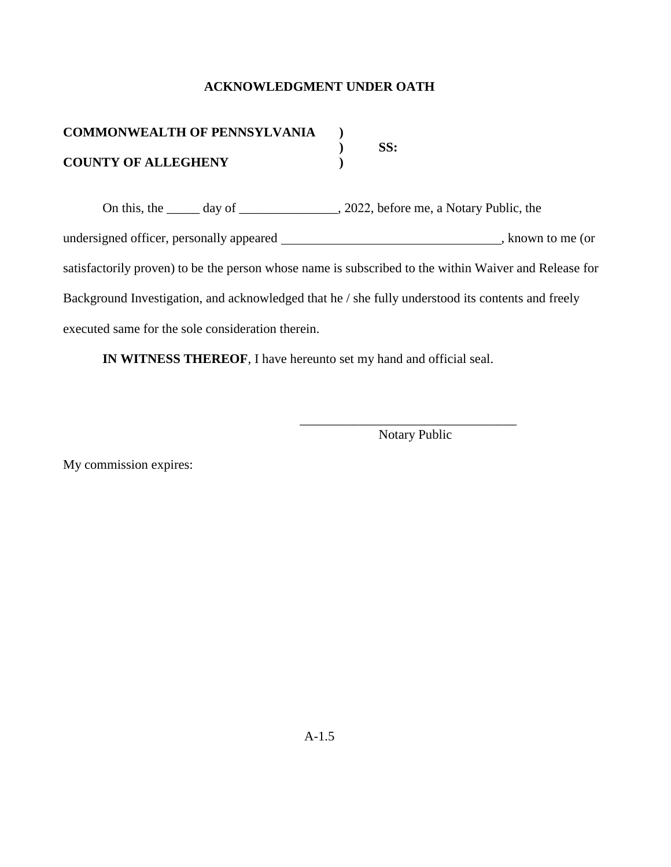## **ACKNOWLEDGMENT UNDER OATH**

| <b>COMMONWEALTH OF PENNSYLVANIA</b> |      |
|-------------------------------------|------|
|                                     | -SS: |
| <b>COUNTY OF ALLEGHENY</b>          |      |

On this, the \_\_\_\_\_ day of \_\_\_\_\_\_\_\_\_\_\_\_\_\_, 2022, before me, a Notary Public, the undersigned officer, personally appeared , known to me (or satisfactorily proven) to be the person whose name is subscribed to the within Waiver and Release for Background Investigation, and acknowledged that he / she fully understood its contents and freely executed same for the sole consideration therein.

**IN WITNESS THEREOF**, I have hereunto set my hand and official seal.

\_\_\_\_\_\_\_\_\_\_\_\_\_\_\_\_\_\_\_\_\_\_\_\_\_\_\_\_\_\_\_\_\_ Notary Public

My commission expires: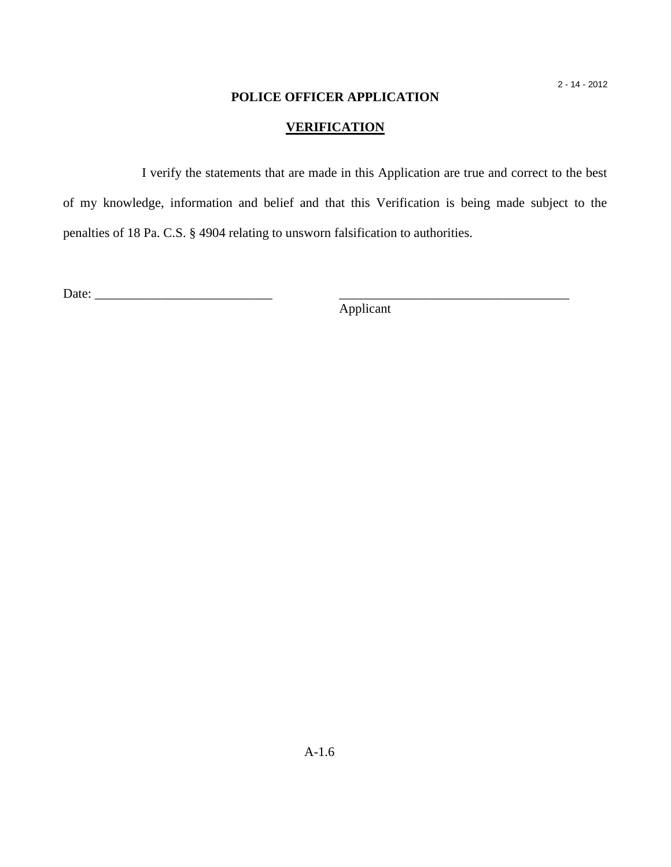## **POLICE OFFICER APPLICATION**

# **VERIFICATION**

I verify the statements that are made in this Application are true and correct to the best of my knowledge, information and belief and that this Verification is being made subject to the penalties of 18 Pa. C.S. § 4904 relating to unsworn falsification to authorities.

Date: \_\_\_\_\_\_\_\_\_\_\_\_\_\_\_\_\_\_\_\_\_\_\_\_\_\_\_ \_\_\_\_\_\_\_\_\_\_\_\_\_\_\_\_\_\_\_\_\_\_\_\_\_\_\_\_\_\_\_\_\_\_\_

Applicant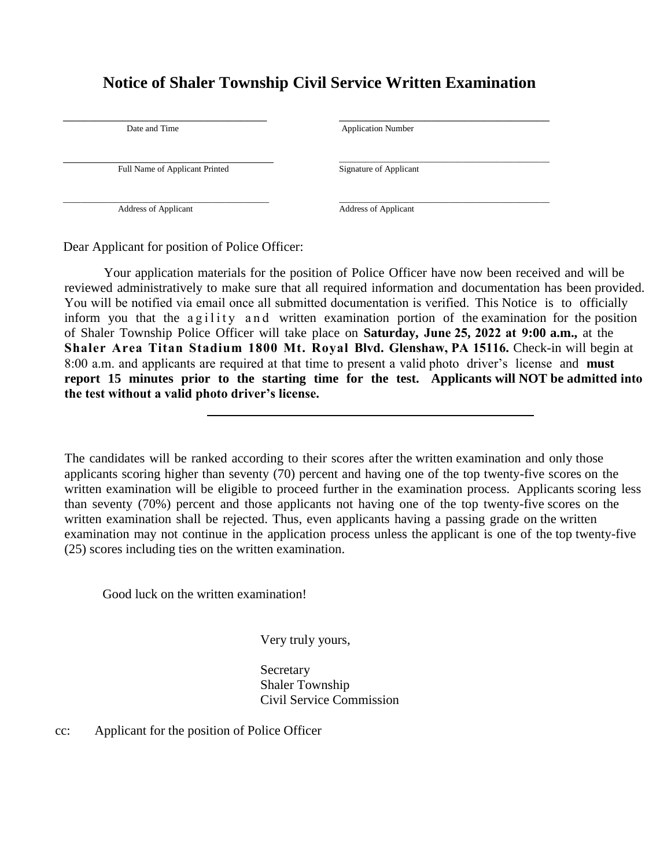# **Notice of Shaler Township Civil Service Written Examination**

| Date and Time                  | <b>Application Number</b>   |  |
|--------------------------------|-----------------------------|--|
|                                |                             |  |
|                                |                             |  |
| Full Name of Applicant Printed | Signature of Applicant      |  |
|                                |                             |  |
|                                |                             |  |
| <b>Address of Applicant</b>    | <b>Address of Applicant</b> |  |
|                                |                             |  |

Dear Applicant for position of Police Officer:

Your application materials for the position of Police Officer have now been received and will be reviewed administratively to make sure that all required information and documentation has been provided. You will be notified via email once all submitted documentation is verified. This Notice is to officially inform you that the agility and written examination portion of the examination for the position of Shaler Township Police Officer will take place on **Saturday, June 25, 2022 at 9:00 a.m.,** at the **Shaler Area Titan Stadium 1800 Mt. Royal Blvd. Glenshaw, PA 15116.** Check-in will begin at 8:00 a.m. and applicants are required at that time to present a valid photo driver's license and **must report 15 minutes prior to the starting time for the test. Applicants will NOT be admitted into the test without a valid photo driver's license.**

The candidates will be ranked according to their scores after the written examination and only those applicants scoring higher than seventy (70) percent and having one of the top twenty-five scores on the written examination will be eligible to proceed further in the examination process. Applicants scoring less than seventy (70%) percent and those applicants not having one of the top twenty-five scores on the written examination shall be rejected. Thus, even applicants having a passing grade on the written examination may not continue in the application process unless the applicant is one of the top twenty-five (25) scores including ties on the written examination.

Good luck on the written examination!

Very truly yours,

**Secretary** Shaler Township Civil Service Commission

cc: Applicant for the position of Police Officer